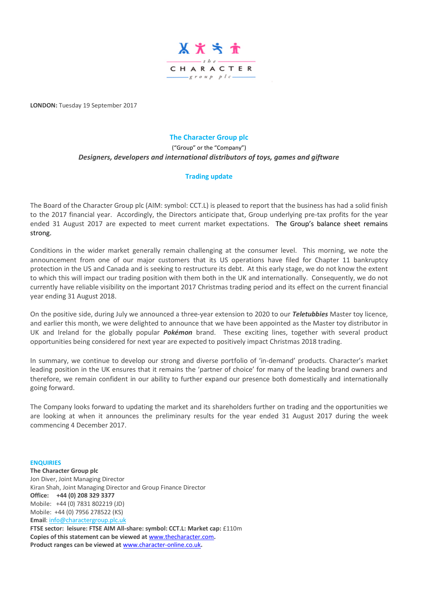

**LONDON:** Tuesday 19 September 2017

## **The Character Group plc**

## ("Group" or the "Company") *Designers, developers and international distributors of toys, games and giftware*

## **Trading update**

The Board of the Character Group plc (AIM: symbol: CCT.L) is pleased to report that the business has had a solid finish to the 2017 financial year. Accordingly, the Directors anticipate that, Group underlying pre-tax profits for the year ended 31 August 2017 are expected to meet current market expectations. The Group's balance sheet remains strong.

Conditions in the wider market generally remain challenging at the consumer level. This morning, we note the announcement from one of our major customers that its US operations have filed for Chapter 11 bankruptcy protection in the US and Canada and is seeking to restructure its debt. At this early stage, we do not know the extent to which this will impact our trading position with them both in the UK and internationally. Consequently, we do not currently have reliable visibility on the important 2017 Christmas trading period and its effect on the current financial year ending 31 August 2018.

On the positive side, during July we announced a three-year extension to 2020 to our *Teletubbies* Master toy licence, and earlier this month, we were delighted to announce that we have been appointed as the Master toy distributor in UK and Ireland for the globally popular *Pokémon* brand. These exciting lines, together with several product opportunities being considered for next year are expected to positively impact Christmas 2018 trading.

In summary, we continue to develop our strong and diverse portfolio of 'in-demand' products. Character's market leading position in the UK ensures that it remains the 'partner of choice' for many of the leading brand owners and therefore, we remain confident in our ability to further expand our presence both domestically and internationally going forward.

The Company looks forward to updating the market and its shareholders further on trading and the opportunities we are looking at when it announces the preliminary results for the year ended 31 August 2017 during the week commencing 4 December 2017.

**The Character Group plc** Jon Diver, Joint Managing Director Kiran Shah, Joint Managing Director and Group Finance Director **Office: +44 (0) 208 329 3377** Mobile: +44 (0) 7831 802219 (JD) Mobile: +44 (0) 7956 278522 (KS) **Email**: [info@charactergroup.plc.uk](mailto:info@charactergroup.plc.uk)

**ENQUIRIES**

**FTSE sector: leisure: FTSE AIM All-share: symbol: CCT.L: Market cap:** £110m **Copies of this statement can be viewed at** [www.thecharacter.com](http://www.thecharacter.com/)**. Product ranges can be viewed at** [www.character-online.co.uk](http://www.character-online.co.uk/)**.**